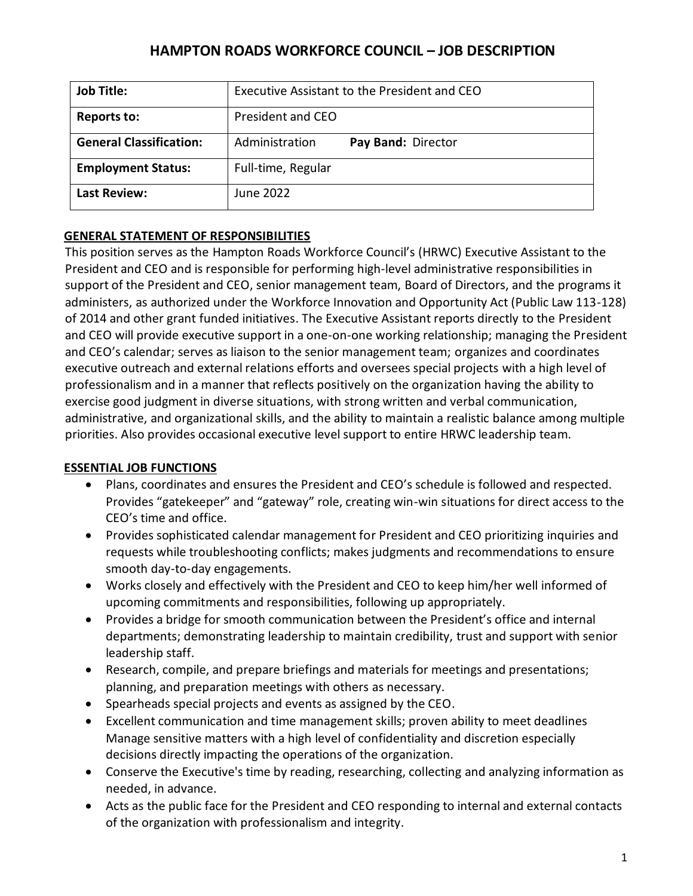| <b>Job Title:</b>              | Executive Assistant to the President and CEO |                    |
|--------------------------------|----------------------------------------------|--------------------|
| <b>Reports to:</b>             | President and CEO                            |                    |
| <b>General Classification:</b> | Administration                               | Pay Band: Director |
| <b>Employment Status:</b>      | Full-time, Regular                           |                    |
| <b>Last Review:</b>            | June 2022                                    |                    |

## **GENERAL STATEMENT OF RESPONSIBILITIES**

This position serves as the Hampton Roads Workforce Council's (HRWC) Executive Assistant to the President and CEO and is responsible for performing high-level administrative responsibilities in support of the President and CEO, senior management team, Board of Directors, and the programs it administers, as authorized under the Workforce Innovation and Opportunity Act (Public Law 113-128) of 2014 and other grant funded initiatives. The Executive Assistant reports directly to the President and CEO will provide executive support in a one-on-one working relationship; managing the President and CEO's calendar; serves as liaison to the senior management team; organizes and coordinates executive outreach and external relations efforts and oversees special projects with a high level of professionalism and in a manner that reflects positively on the organization having the ability to exercise good judgment in diverse situations, with strong written and verbal communication, administrative, and organizational skills, and the ability to maintain a realistic balance among multiple priorities. Also provides occasional executive level support to entire HRWC leadership team.

### **ESSENTIAL JOB FUNCTIONS**

- Plans, coordinates and ensures the President and CEO's schedule is followed and respected. Provides "gatekeeper" and "gateway" role, creating win-win situations for direct access to the CEO's time and office.
- Provides sophisticated calendar management for President and CEO prioritizing inquiries and requests while troubleshooting conflicts; makes judgments and recommendations to ensure smooth day-to-day engagements.
- Works closely and effectively with the President and CEO to keep him/her well informed of upcoming commitments and responsibilities, following up appropriately.
- Provides a bridge for smooth communication between the President's office and internal departments; demonstrating leadership to maintain credibility, trust and support with senior leadership staff.
- Research, compile, and prepare briefings and materials for meetings and presentations; planning, and preparation meetings with others as necessary.
- Spearheads special projects and events as assigned by the CEO.
- Excellent communication and time management skills; proven ability to meet deadlines Manage sensitive matters with a high level of confidentiality and discretion especially decisions directly impacting the operations of the organization.
- Conserve the Executive's time by reading, researching, collecting and analyzing information as needed, in advance.
- Acts as the public face for the President and CEO responding to internal and external contacts of the organization with professionalism and integrity.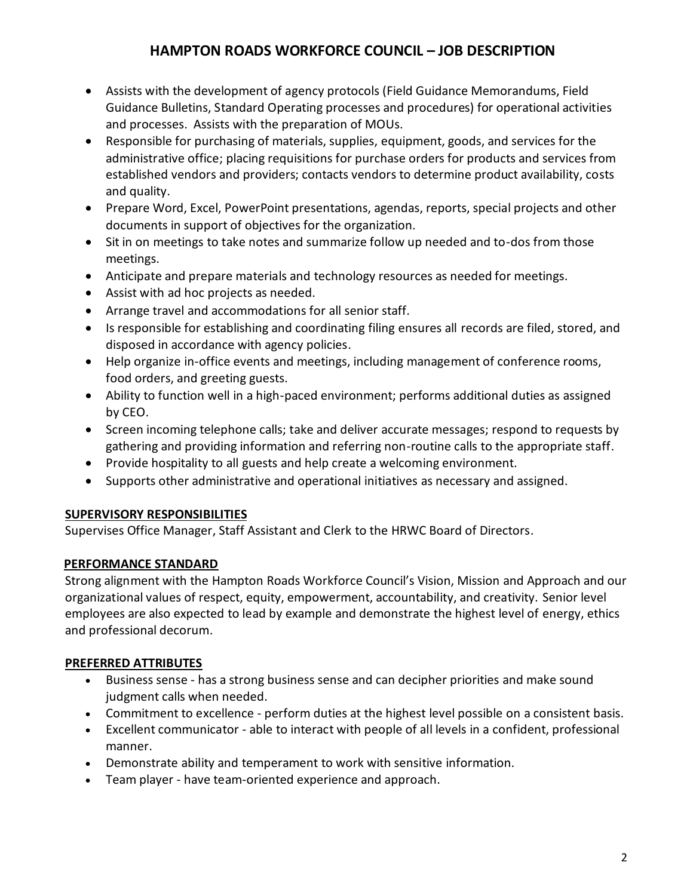- Assists with the development of agency protocols (Field Guidance Memorandums, Field Guidance Bulletins, Standard Operating processes and procedures) for operational activities and processes. Assists with the preparation of MOUs.
- Responsible for purchasing of materials, supplies, equipment, goods, and services for the administrative office; placing requisitions for purchase orders for products and services from established vendors and providers; contacts vendors to determine product availability, costs and quality.
- Prepare Word, Excel, PowerPoint presentations, agendas, reports, special projects and other documents in support of objectives for the organization.
- Sit in on meetings to take notes and summarize follow up needed and to-dos from those meetings.
- Anticipate and prepare materials and technology resources as needed for meetings.
- Assist with ad hoc projects as needed.
- Arrange travel and accommodations for all senior staff.
- Is responsible for establishing and coordinating filing ensures all records are filed, stored, and disposed in accordance with agency policies.
- Help organize in-office events and meetings, including management of conference rooms, food orders, and greeting guests.
- Ability to function well in a high-paced environment; performs additional duties as assigned by CEO.
- Screen incoming telephone calls; take and deliver accurate messages; respond to requests by gathering and providing information and referring non-routine calls to the appropriate staff.
- Provide hospitality to all guests and help create a welcoming environment.
- Supports other administrative and operational initiatives as necessary and assigned.

### **SUPERVISORY RESPONSIBILITIES**

Supervises Office Manager, Staff Assistant and Clerk to the HRWC Board of Directors.

## **PERFORMANCE STANDARD**

Strong alignment with the Hampton Roads Workforce Council's Vision, Mission and Approach and our organizational values of respect, equity, empowerment, accountability, and creativity. Senior level employees are also expected to lead by example and demonstrate the highest level of energy, ethics and professional decorum.

### **PREFERRED ATTRIBUTES**

- Business sense has a strong business sense and can decipher priorities and make sound judgment calls when needed.
- Commitment to excellence perform duties at the highest level possible on a consistent basis.
- Excellent communicator able to interact with people of all levels in a confident, professional manner.
- Demonstrate ability and temperament to work with sensitive information.
- Team player have team-oriented experience and approach.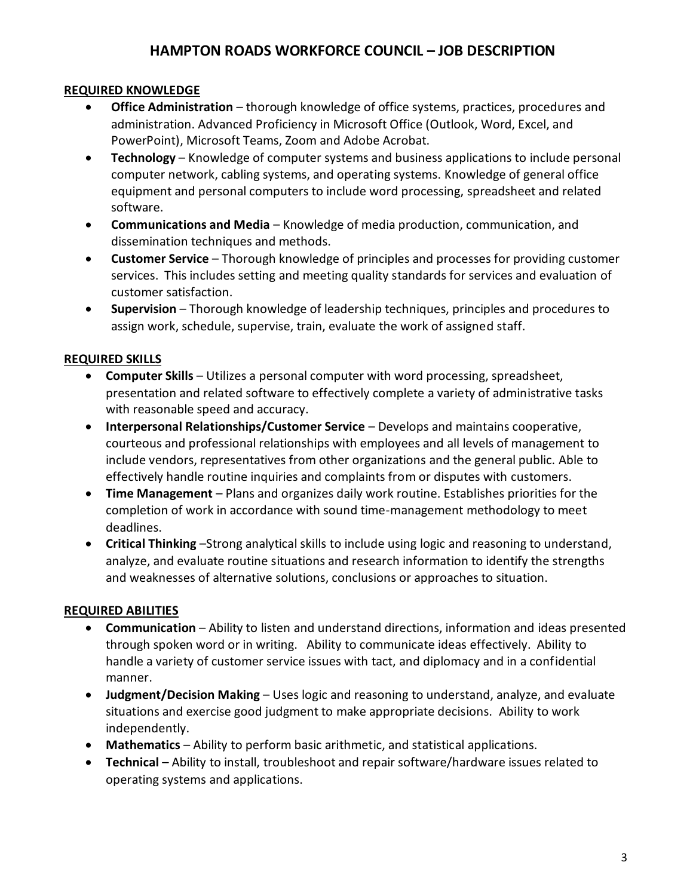### **REQUIRED KNOWLEDGE**

- **Office Administration** thorough knowledge of office systems, practices, procedures and administration. Advanced Proficiency in Microsoft Office (Outlook, Word, Excel, and PowerPoint), Microsoft Teams, Zoom and Adobe Acrobat.
- **Technology** Knowledge of computer systems and business applications to include personal computer network, cabling systems, and operating systems. Knowledge of general office equipment and personal computers to include word processing, spreadsheet and related software.
- **Communications and Media**  Knowledge of media production, communication, and dissemination techniques and methods.
- **Customer Service** Thorough knowledge of principles and processes for providing customer services. This includes setting and meeting quality standards for services and evaluation of customer satisfaction.
- **Supervision** Thorough knowledge of leadership techniques, principles and procedures to assign work, schedule, supervise, train, evaluate the work of assigned staff.

#### **REQUIRED SKILLS**

- **Computer Skills** Utilizes a personal computer with word processing, spreadsheet, presentation and related software to effectively complete a variety of administrative tasks with reasonable speed and accuracy.
- **Interpersonal Relationships/Customer Service** Develops and maintains cooperative, courteous and professional relationships with employees and all levels of management to include vendors, representatives from other organizations and the general public. Able to effectively handle routine inquiries and complaints from or disputes with customers.
- **Time Management** Plans and organizes daily work routine. Establishes priorities for the completion of work in accordance with sound time-management methodology to meet deadlines.
- **Critical Thinking** –Strong analytical skills to include using logic and reasoning to understand, analyze, and evaluate routine situations and research information to identify the strengths and weaknesses of alternative solutions, conclusions or approaches to situation.

#### **REQUIRED ABILITIES**

- **Communication**  Ability to listen and understand directions, information and ideas presented through spoken word or in writing. Ability to communicate ideas effectively. Ability to handle a variety of customer service issues with tact, and diplomacy and in a confidential manner.
- **Judgment/Decision Making** Uses logic and reasoning to understand, analyze, and evaluate situations and exercise good judgment to make appropriate decisions. Ability to work independently.
- **Mathematics**  Ability to perform basic arithmetic, and statistical applications.
- **Technical** Ability to install, troubleshoot and repair software/hardware issues related to operating systems and applications.